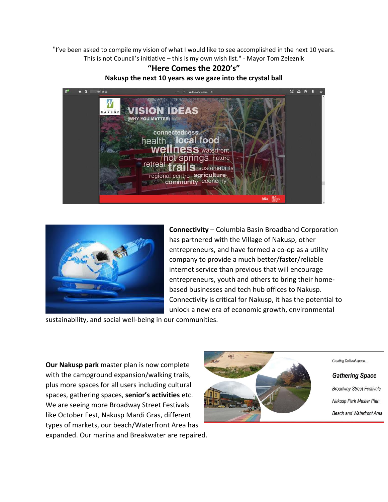"I've been asked to compile my vision of what I would like to see accomplished in the next 10 years. This is not Council's initiative – this is my own wish list." - Mayor Tom Zeleznik

## **"Here Comes the 2020's" Nakusp the next 10 years as we gaze into the crystal ball**





**Connectivity** – Columbia Basin Broadband Corporation has partnered with the Village of Nakusp, other entrepreneurs, and have formed a co-op as a utility company to provide a much better/faster/reliable internet service than previous that will encourage entrepreneurs, youth and others to bring their homebased businesses and tech hub offices to Nakusp. Connectivity is critical for Nakusp, it has the potential to unlock a new era of economic growth, environmental

sustainability, and social well-being in our communities.

**Our Nakusp park** master plan is now complete with the campground expansion/walking trails, plus more spaces for all users including cultural spaces, gathering spaces, **senior's activities** etc. We are seeing more Broadway Street Festivals like October Fest, Nakusp Mardi Gras, different types of markets, our beach/Waterfront Area has expanded. Our marina and Breakwater are repaired.



Creating Cultural space...

## **Gathering Space**

**Broadway Street Festivals** Nakusp Park Master Plan Beach and Waterfront Area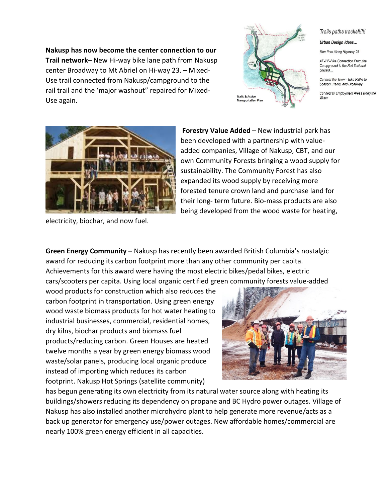**Nakusp has now become the center connection to our Trail network**– New Hi-way bike lane path from Nakusp center Broadway to Mt Abriel on Hi-way 23. – Mixed-Use trail connected from Nakusp/campground to the rail trail and the 'major washout" repaired for Mixed-Use again.



Trails paths tracks!!!!!!

## Urban Design Ideas...

Bike Path Along Highway 23

ATV/ E-Bike Connection From the Campground to the Rail Trail and onward

Connect the Town - Bike Paths to Schools, Parks, and Broadway

Connect to Employment Areas along the Water



electricity, biochar, and now fuel.

**Forestry Value Added** – New industrial park has been developed with a partnership with valueadded companies, Village of Nakusp, CBT, and our own Community Forests bringing a wood supply for sustainability. The Community Forest has also expanded its wood supply by receiving more forested tenure crown land and purchase land for their long- term future. Bio-mass products are also being developed from the wood waste for heating,

**Green Energy Community** – Nakusp has recently been awarded British Columbia's nostalgic award for reducing its carbon footprint more than any other community per capita. Achievements for this award were having the most electric bikes/pedal bikes, electric cars/scooters per capita. Using local organic certified green community forests value-added

wood products for construction which also reduces the carbon footprint in transportation. Using green energy wood waste biomass products for hot water heating to industrial businesses, commercial, residential homes, dry kilns, biochar products and biomass fuel products/reducing carbon. Green Houses are heated twelve months a year by green energy biomass wood waste/solar panels, producing local organic produce instead of importing which reduces its carbon footprint. Nakusp Hot Springs (satellite community)



has begun generating its own electricity from its natural water source along with heating its buildings/showers reducing its dependency on propane and BC Hydro power outages. Village of Nakusp has also installed another microhydro plant to help generate more revenue/acts as a back up generator for emergency use/power outages. New affordable homes/commercial are nearly 100% green energy efficient in all capacities.